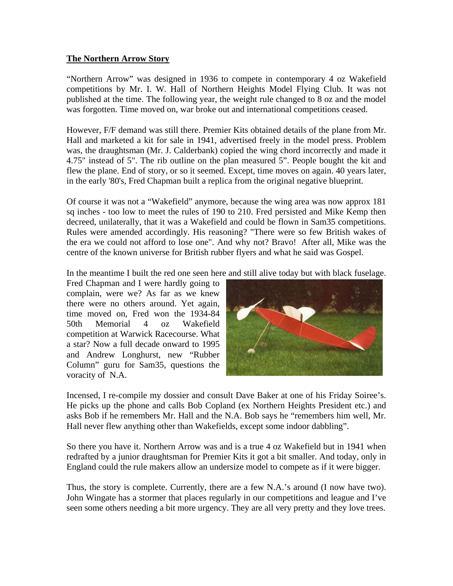## **The Northern Arrow Story**

"Northern Arrow" was designed in 1936 to compete in contemporary 4 oz Wakefield competitions by Mr. I. W. Hall of Northern Heights Model Flying Club. It was not published at the time. The following year, the weight rule changed to 8 oz and the model was forgotten. Time moved on, war broke out and international competitions ceased.

However, F/F demand was still there. Premier Kits obtained details of the plane from Mr. Hall and marketed a kit for sale in 1941, advertised freely in the model press. Problem was, the draughtsman (Mr. J. Calderbank) copied the wing chord incorrectly and made it 4.75" instead of 5". The rib outline on the plan measured 5". People bought the kit and flew the plane. End of story, or so it seemed. Except, time moves on again. 40 years later, in the early '80's, Fred Chapman built a replica from the original negative blueprint.

Of course it was not a "Wakefield" anymore, because the wing area was now approx 181 sq inches - too low to meet the rules of 190 to 210. Fred persisted and Mike Kemp then decreed, unilaterally, that it was a Wakefield and could be flown in Sam35 competitions. Rules were amended accordingly. His reasoning? "There were so few British wakes of the era we could not afford to lose one". And why not? Bravo! After all, Mike was the centre of the known universe for British rubber flyers and what he said was Gospel.

In the meantime I built the red one seen here and still alive today but with black fuselage.

Fred Chapman and I were hardly going to complain, were we? As far as we knew there were no others around. Yet again, time moved on, Fred won the 1934-84 50th Memorial 4 oz Wakefield competition at Warwick Racecourse. What a star? Now a full decade onward to 1995 and Andrew Longhurst, new "Rubber Column" guru for Sam35, questions the voracity of N.A.



Incensed, I re-compile my dossier and consult Dave Baker at one of his Friday Soiree's. He picks up the phone and calls Bob Copland (ex Northern Heights President etc.) and asks Bob if he remembers Mr. Hall and the N.A. Bob says he "remembers him well, Mr. Hall never flew anything other than Wakefields, except some indoor dabbling".

So there you have it. Northern Arrow was and is a true 4 oz Wakefield but in 1941 when redrafted by a junior draughtsman for Premier Kits it got a bit smaller. And today, only in England could the rule makers allow an undersize model to compete as if it were bigger.

Thus, the story is complete. Currently, there are a few N.A.'s around (I now have two). John Wingate has a stormer that places regularly in our competitions and league and I've seen some others needing a bit more urgency. They are all very pretty and they love trees.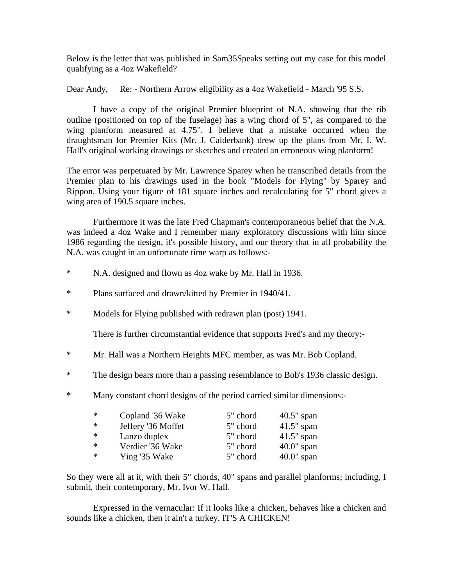Below is the letter that was published in Sam35Speaks setting out my case for this model qualifying as a 4oz Wakefield?

Dear Andy, Re: - Northern Arrow eligibility as a 4oz Wakefield - March '95 S.S.

 I have a copy of the original Premier blueprint of N.A. showing that the rib outline (positioned on top of the fuselage) has a wing chord of 5", as compared to the wing planform measured at 4.75". I believe that a mistake occurred when the draughtsman for Premier Kits (Mr. J. Calderbank) drew up the plans from Mr. I. W. Hall's original working drawings or sketches and created an erroneous wing planform!

The error was perpetuated by Mr. Lawrence Sparey when he transcribed details from the Premier plan to his drawings used in the book "Models for Flying" by Sparey and Rippon. Using your figure of 181 square inches and recalculating for 5" chord gives a wing area of 190.5 square inches.

 Furthermore it was the late Fred Chapman's contemporaneous belief that the N.A. was indeed a 4oz Wake and I remember many exploratory discussions with him since 1986 regarding the design, it's possible history, and our theory that in all probability the N.A. was caught in an unfortunate time warp as follows:-

- \* N.A. designed and flown as 4oz wake by Mr. Hall in 1936.
- \* Plans surfaced and drawn/kitted by Premier in 1940/41.
- \* Models for Flying published with redrawn plan (post) 1941.

There is further circumstantial evidence that supports Fred's and my theory:-

- \* Mr. Hall was a Northern Heights MFC member, as was Mr. Bob Copland.
- \* The design bears more than a passing resemblance to Bob's 1936 classic design.
- \* Many constant chord designs of the period carried similar dimensions:-

| * | Copland '36 Wake   | 5" chord | $40.5$ " span |
|---|--------------------|----------|---------------|
| ∗ | Jeffery '36 Moffet | 5" chord | $41.5$ " span |
| * | Lanzo duplex       | 5" chord | $41.5$ " span |
| ∗ | Verdier '36 Wake   | 5" chord | $40.0$ " span |
| ∗ | Ying '35 Wake      | 5" chord | $40.0$ " span |

So they were all at it, with their 5" chords, 40" spans and parallel planforms; including, I submit, their contemporary, Mr. Ivor W. Hall.

 Expressed in the vernacular: If it looks like a chicken, behaves like a chicken and sounds like a chicken, then it ain't a turkey. IT'S A CHICKEN!